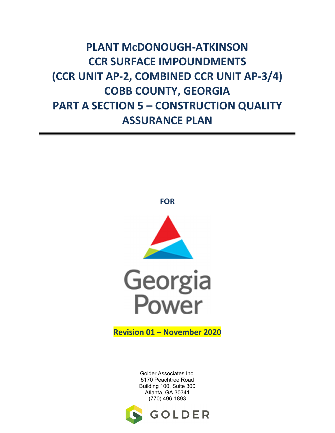# **PLANT McDONOUGH-ATKINSON CCR SURFACE IMPOUNDMENTS (CCR UNIT AP-2, COMBINED CCR UNIT AP-3/4) COBB COUNTY, GEORGIA PART A SECTION 5 – CONSTRUCTION QUALITY ASSURANCE PLAN**



**FOR**

**Revision 01 – November 2020** 

Golder Associates Inc. 5170 Peachtree Road Building 100, Suite 300 Atlanta, GA 30341 (770) 496-1893

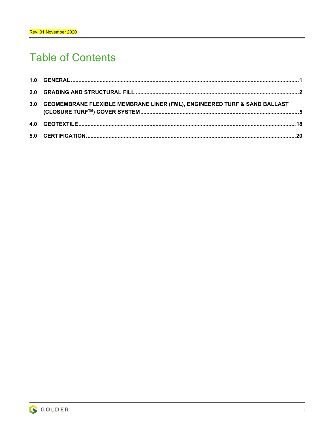# **Table of Contents**

| 3.0 GEOMEMBRANE FLEXIBLE MEMBRANE LINER (FML), ENGINEERED TURF & SAND BALLAST |  |
|-------------------------------------------------------------------------------|--|
|                                                                               |  |
|                                                                               |  |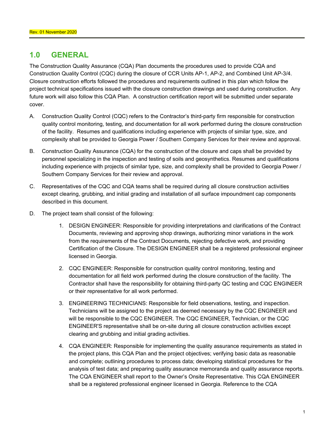# **1.0 GENERAL**

The Construction Quality Assurance (CQA) Plan documents the procedures used to provide CQA and Construction Quality Control (CQC) during the closure of CCR Units AP-1, AP-2, and Combined Unit AP-3/4. Closure construction efforts followed the procedures and requirements outlined in this plan which follow the project technical specifications issued with the closure construction drawings and used during construction. Any future work will also follow this CQA Plan. A construction certification report will be submitted under separate cover.

- A. Construction Quality Control (CQC) refers to the Contractor's third-party firm responsible for construction quality control monitoring, testing, and documentation for all work performed during the closure construction of the facility. Resumes and qualifications including experience with projects of similar type, size, and complexity shall be provided to Georgia Power / Southern Company Services for their review and approval.
- B. Construction Quality Assurance (CQA) for the construction of the closure and caps shall be provided by personnel specializing in the inspection and testing of soils and geosynthetics. Resumes and qualifications including experience with projects of similar type, size, and complexity shall be provided to Georgia Power / Southern Company Services for their review and approval.
- C. Representatives of the CQC and CQA teams shall be required during all closure construction activities except clearing, grubbing, and initial grading and installation of all surface impoundment cap components described in this document.
- D. The project team shall consist of the following:
	- 1. DESIGN ENGINEER: Responsible for providing interpretations and clarifications of the Contract Documents, reviewing and approving shop drawings, authorizing minor variations in the work from the requirements of the Contract Documents, rejecting defective work, and providing Certification of the Closure. The DESIGN ENGINEER shall be a registered professional engineer licensed in Georgia.
	- 2. CQC ENGINEER: Responsible for construction quality control monitoring, testing and documentation for all field work performed during the closure construction of the facility. The Contractor shall have the responsibility for obtaining third-party QC testing and CQC ENGINEER or their representative for all work performed.
	- 3. ENGINEERING TECHNICIANS: Responsible for field observations, testing, and inspection. Technicians will be assigned to the project as deemed necessary by the CQC ENGINEER and will be responsible to the CQC ENGINEER. The CQC ENGINEER, Technician, or the CQC ENGINEER'S representative shall be on-site during all closure construction activities except clearing and grubbing and initial grading activities.
	- 4. CQA ENGINEER: Responsible for implementing the quality assurance requirements as stated in the project plans, this CQA Plan and the project objectives; verifying basic data as reasonable and complete; outlining procedures to process data; developing statistical procedures for the analysis of test data; and preparing quality assurance memoranda and quality assurance reports. The CQA ENGINEER shall report to the Owner's Onsite Representative. This CQA ENGINEER shall be a registered professional engineer licensed in Georgia. Reference to the CQA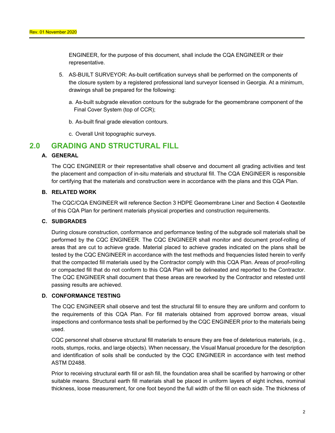ENGINEER, for the purpose of this document, shall include the CQA ENGINEER or their representative.

- 5. AS-BUILT SURVEYOR: As-built certification surveys shall be performed on the components of the closure system by a registered professional land surveyor licensed in Georgia. At a minimum, drawings shall be prepared for the following:
	- a. As-built subgrade elevation contours for the subgrade for the geomembrane component of the Final Cover System (top of CCR);
	- b. As-built final grade elevation contours.
	- c. Overall Unit topographic surveys.

# **2.0 GRADING AND STRUCTURAL FILL**

## **A. GENERAL**

The CQC ENGINEER or their representative shall observe and document all grading activities and test the placement and compaction of in-situ materials and structural fill. The CQA ENGINEER is responsible for certifying that the materials and construction were in accordance with the plans and this CQA Plan.

#### **B. RELATED WORK**

The CQC/CQA ENGINEER will reference Section 3 HDPE Geomembrane Liner and Section 4 Geotextile of this CQA Plan for pertinent materials physical properties and construction requirements.

#### **C. SUBGRADES**

During closure construction, conformance and performance testing of the subgrade soil materials shall be performed by the CQC ENGINEER. The CQC ENGINEER shall monitor and document proof-rolling of areas that are cut to achieve grade. Material placed to achieve grades indicated on the plans shall be tested by the CQC ENGINEER in accordance with the test methods and frequencies listed herein to verify that the compacted fill materials used by the Contractor comply with this CQA Plan. Areas of proof-rolling or compacted fill that do not conform to this CQA Plan will be delineated and reported to the Contractor. The CQC ENGINEER shall document that these areas are reworked by the Contractor and retested until passing results are achieved.

#### **D. CONFORMANCE TESTING**

The CQC ENGINEER shall observe and test the structural fill to ensure they are uniform and conform to the requirements of this CQA Plan. For fill materials obtained from approved borrow areas, visual inspections and conformance tests shall be performed by the CQC ENGINEER prior to the materials being used.

CQC personnel shall observe structural fill materials to ensure they are free of deleterious materials, (e.g., roots, stumps, rocks, and large objects). When necessary, the Visual Manual procedure for the description and identification of soils shall be conducted by the CQC ENGINEER in accordance with test method ASTM D2488.

Prior to receiving structural earth fill or ash fill, the foundation area shall be scarified by harrowing or other suitable means. Structural earth fill materials shall be placed in uniform layers of eight inches, nominal thickness, loose measurement, for one foot beyond the full width of the fill on each side. The thickness of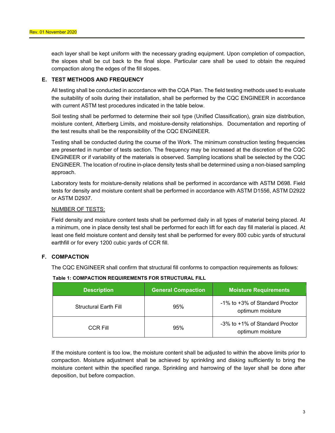each layer shall be kept uniform with the necessary grading equipment. Upon completion of compaction, the slopes shall be cut back to the final slope. Particular care shall be used to obtain the required compaction along the edges of the fill slopes.

#### **E. TEST METHODS AND FREQUENCY**

All testing shall be conducted in accordance with the CQA Plan. The field testing methods used to evaluate the suitability of soils during their installation, shall be performed by the CQC ENGINEER in accordance with current ASTM test procedures indicated in the table below.

Soil testing shall be performed to determine their soil type (Unified Classification), grain size distribution, moisture content, Atterberg Limits, and moisture-density relationships. Documentation and reporting of the test results shall be the responsibility of the CQC ENGINEER.

Testing shall be conducted during the course of the Work. The minimum construction testing frequencies are presented in number of tests section. The frequency may be increased at the discretion of the CQC ENGINEER or if variability of the materials is observed. Sampling locations shall be selected by the CQC ENGINEER. The location of routine in-place density tests shall be determined using a non-biased sampling approach.

Laboratory tests for moisture-density relations shall be performed in accordance with ASTM D698. Field tests for density and moisture content shall be performed in accordance with ASTM D1556, ASTM D2922 or ASTM D2937.

#### NUMBER OF TESTS:

Field density and moisture content tests shall be performed daily in all types of material being placed. At a minimum, one in place density test shall be performed for each lift for each day fill material is placed. At least one field moisture content and density test shall be performed for every 800 cubic yards of structural earthfill or for every 1200 cubic yards of CCR fill.

## **F. COMPACTION**

The CQC ENGINEER shall confirm that structural fill conforms to compaction requirements as follows:

| <b>Description</b>           | <b>General Compaction</b> | <b>Moisture Requirements</b>                       |
|------------------------------|---------------------------|----------------------------------------------------|
| <b>Structural Earth Fill</b> | 95%                       | -1% to +3% of Standard Proctor<br>optimum moisture |
| CCR Fill                     | 95%                       | -3% to +1% of Standard Proctor<br>optimum moisture |

#### **Table 1: COMPACTION REQUIREMENTS FOR STRUCTURAL FILL**

If the moisture content is too low, the moisture content shall be adjusted to within the above limits prior to compaction. Moisture adjustment shall be achieved by sprinkling and disking sufficiently to bring the moisture content within the specified range. Sprinkling and harrowing of the layer shall be done after deposition, but before compaction.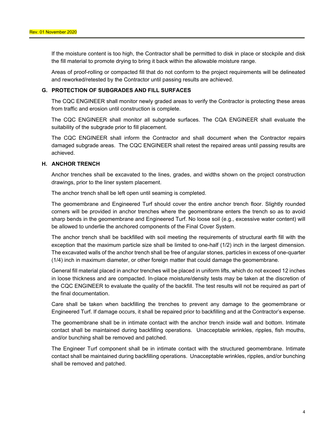If the moisture content is too high, the Contractor shall be permitted to disk in place or stockpile and disk the fill material to promote drying to bring it back within the allowable moisture range.

Areas of proof-rolling or compacted fill that do not conform to the project requirements will be delineated and reworked/retested by the Contractor until passing results are achieved.

## **G. PROTECTION OF SUBGRADES AND FILL SURFACES**

The CQC ENGINEER shall monitor newly graded areas to verify the Contractor is protecting these areas from traffic and erosion until construction is complete.

The CQC ENGINEER shall monitor all subgrade surfaces. The CQA ENGINEER shall evaluate the suitability of the subgrade prior to fill placement.

The CQC ENGINEER shall inform the Contractor and shall document when the Contractor repairs damaged subgrade areas. The CQC ENGINEER shall retest the repaired areas until passing results are achieved.

#### **H. ANCHOR TRENCH**

Anchor trenches shall be excavated to the lines, grades, and widths shown on the project construction drawings, prior to the liner system placement.

The anchor trench shall be left open until seaming is completed.

The geomembrane and Engineered Turf should cover the entire anchor trench floor. Slightly rounded corners will be provided in anchor trenches where the geomembrane enters the trench so as to avoid sharp bends in the geomembrane and Engineered Turf. No loose soil (e.g., excessive water content) will be allowed to underlie the anchored components of the Final Cover System.

The anchor trench shall be backfilled with soil meeting the requirements of structural earth fill with the exception that the maximum particle size shall be limited to one-half (1/2) inch in the largest dimension. The excavated walls of the anchor trench shall be free of angular stones, particles in excess of one-quarter (1/4) inch in maximum diameter, or other foreign matter that could damage the geomembrane.

General fill material placed in anchor trenches will be placed in uniform lifts, which do not exceed 12 inches in loose thickness and are compacted. In-place moisture/density tests may be taken at the discretion of the CQC ENGINEER to evaluate the quality of the backfill. The test results will not be required as part of the final documentation.

Care shall be taken when backfilling the trenches to prevent any damage to the geomembrane or Engineered Turf. If damage occurs, it shall be repaired prior to backfilling and at the Contractor's expense.

The geomembrane shall be in intimate contact with the anchor trench inside wall and bottom. Intimate contact shall be maintained during backfilling operations. Unacceptable wrinkles, ripples, fish mouths, and/or bunching shall be removed and patched.

The Engineer Turf component shall be in intimate contact with the structured geomembrane. Intimate contact shall be maintained during backfilling operations. Unacceptable wrinkles, ripples, and/or bunching shall be removed and patched.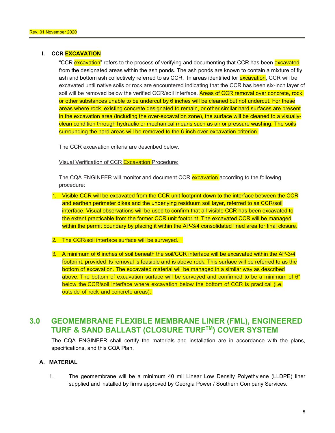## **I. CCR EXCAVATION**

"CCR excavation" refers to the process of verifying and documenting that CCR has been excavated from the designated areas within the ash ponds. The ash ponds are known to contain a mixture of fly ash and bottom ash collectively referred to as CCR. In areas identified for **excavation**, CCR will be excavated until native soils or rock are encountered indicating that the CCR has been six-inch layer of soil will be removed below the verified CCR/soil interface. Areas of CCR removal over concrete, rock, or other substances unable to be undercut by 6 inches will be cleaned but not undercut. For these areas where rock, existing concrete designated to remain, or other similar hard surfaces are present in the excavation area (including the over-excavation zone), the surface will be cleaned to a visuallyclean condition through hydraulic or mechanical means such as air or pressure washing. The soils surrounding the hard areas will be removed to the 6-inch over-excavation criterion.

The CCR excavation criteria are described below.

Visual Verification of CCR Excavation Procedure:

The CQA ENGINEER will monitor and document CCR excavation according to the following procedure:

- 1. Visible CCR will be excavated from the CCR unit footprint down to the interface between the CCR and earthen perimeter dikes and the underlying residuum soil layer, referred to as CCR/soil interface. Visual observations will be used to confirm that all visible CCR has been excavated to the extent practicable from the former CCR unit footprint. The excavated CCR will be managed within the permit boundary by placing it within the AP-3/4 consolidated lined area for final closure.
- 2. The CCR/soil interface surface will be surveyed.
- 3. A minimum of 6 inches of soil beneath the soil/CCR interface will be excavated within the AP-3/4 footprint, provided its removal is feasible and is above rock. This surface will be referred to as the bottom of excavation. The excavated material will be managed in a similar way as described above. The bottom of excavation surface will be surveyed and confirmed to be a minimum of 6" below the CCR/soil interface where excavation below the bottom of CCR is practical (i.e. outside of rock and concrete areas).

# **3.0 GEOMEMBRANE FLEXIBLE MEMBRANE LINER (FML), ENGINEERED TURF & SAND BALLAST (CLOSURE TURFTM) COVER SYSTEM**

The CQA ENGINEER shall certify the materials and installation are in accordance with the plans, specifications, and this CQA Plan.

## **A. MATERIAL**

1. The geomembrane will be a minimum 40 mil Linear Low Density Polyethylene (LLDPE) liner supplied and installed by firms approved by Georgia Power / Southern Company Services.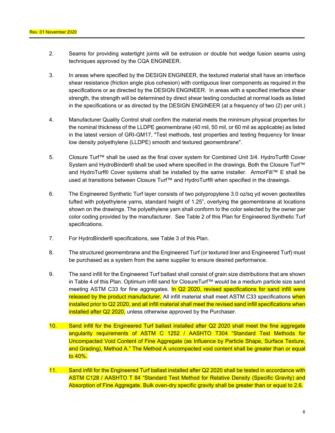- 2. Seams for providing watertight joints will be extrusion or double hot wedge fusion seams using techniques approved by the CQA ENGINEER.
- 3. In areas where specified by the DESIGN ENGINEER, the textured material shall have an interface shear resistance (friction angle plus cohesion) with contiguous liner components as required in the specifications or as directed by the DESIGN ENGINEER. In areas with a specified interface shear strength, the strength will be determined by direct shear testing conducted at normal loads as listed in the specifications or as directed by the DESIGN ENGINEER (at a frequency of two (2) per unit.)
- 4. Manufacturer Quality Control shall confirm the material meets the minimum physical properties for the nominal thickness of the LLDPE geomembrane (40 mil, 50 mil, or 60 mil as applicable) as listed in the latest version of GRI-GM17, "Test methods, test properties and testing frequency for linear low density polyethylene (LLDPE) smooth and textured geomembrane".
- 5. Closure Turf™ shall be used as the final cover system for Combined Unit 3/4. HydroTurf® Cover System and HydroBinder® shall be used where specified in the drawings. Both the Closure Turf™ and HydroTurf® Cover systems shall be installed by the same installer. ArmorFill™ E shall be used at transitions between Closure Turf™ and HydroTurf® when specified in the drawings.
- 6. The Engineered Synthetic Turf layer consists of two polypropylene 3.0 oz/sq yd woven geotextiles tufted with polyethylene yarns, standard height of 1.25", overlying the geomembrane at locations shown on the drawings. The polyethylene yarn shall conform to the color selected by the owner per color coding provided by the manufacturer. See Table 2 of this Plan for Engineered Synthetic Turf specifications.
- 7. For HydroBinder® specifications, see Table 3 of this Plan.
- 8. The structured geomembrane and the Engineered Turf (or textured liner and Engineered Turf) must be purchased as a system from the same supplier to ensure desired performance.
- 9. The sand infill for the Engineered Turf ballast shall consist of grain size distributions that are shown in Table 4 of this Plan. Optimum infill sand for ClosureTurf™ would be a medium particle size sand meeting ASTM C33 for fine aggregates. In Q2 2020, revised specifications for sand infill were released by the product manufacturer. All infill material shall meet ASTM C33 specifications when installed prior to Q2 2020, and all infill material shall meet the revised sand infill specifications when installed after Q2 2020, unless otherwise approved by the Purchaser.
- 10. Sand infill for the Engineered Turf ballast installed after Q2 2020 shall meet the fine aggregate angularity requirements of ASTM C 1252 / AASHTO T304 "Standard Test Methods for Uncompacted Void Content of Fine Aggregate (as Influence by Particle Shape, Surface Texture, and Grading), Method A." The Method A uncompacted void content shall be greater than or equal to 40%.
- 11. Sand infill for the Engineered Turf ballast installed after Q2 2020 shall be tested in accordance with ASTM C128 / AASHTO T 84 "Standard Test Method for Relative Density (Specific Gravity) and Absorption of Fine Aggregate. Bulk oven-dry specific gravity shall be greater than or equal to 2.6.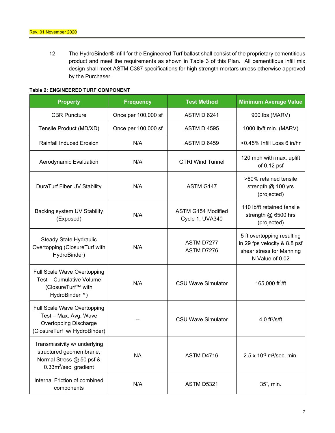12. The HydroBinder® infill for the Engineered Turf ballast shall consist of the proprietary cementitious product and meet the requirements as shown in Table 3 of this Plan. All cementitious infill mix design shall meet ASTM C387 specifications for high strength mortars unless otherwise approved by the Purchaser.

#### **Table 2: ENGINEERED TURF COMPONENT**

| <b>Property</b>                                                                                                         | <b>Frequency</b>    | <b>Test Method</b>                    | <b>Minimum Average Value</b>                                                                              |  |
|-------------------------------------------------------------------------------------------------------------------------|---------------------|---------------------------------------|-----------------------------------------------------------------------------------------------------------|--|
| <b>CBR Puncture</b>                                                                                                     | Once per 100,000 sf |                                       | 900 lbs (MARV)                                                                                            |  |
| Tensile Product (MD/XD)                                                                                                 | Once per 100,000 sf | <b>ASTM D 4595</b>                    | 1000 lb/ft min. (MARV)                                                                                    |  |
| <b>Rainfall Induced Erosion</b>                                                                                         | N/A                 | <b>ASTM D 6459</b>                    | $<$ 0.45% Infill Loss 6 in/hr                                                                             |  |
| Aerodynamic Evaluation                                                                                                  | N/A                 | <b>GTRI Wind Tunnel</b>               | 120 mph with max. uplift<br>of 0.12 psf                                                                   |  |
| DuraTurf Fiber UV Stability                                                                                             | N/A                 | ASTM G147                             | >60% retained tensile<br>strength @ 100 yrs<br>(projected)                                                |  |
| Backing system UV Stability<br>(Exposed)                                                                                | N/A                 | ASTM G154 Modified<br>Cycle 1, UVA340 | 110 lb/ft retained tensile<br>strength $@$ 6500 hrs<br>(projected)                                        |  |
| Steady State Hydraulic<br>Overtopping (ClosureTurf with<br>HydroBinder)                                                 | N/A                 | ASTM D7277<br>ASTM D7276              | 5 ft overtopping resulting<br>in 29 fps velocity & 8.8 psf<br>shear stress for Manning<br>N Value of 0.02 |  |
| Full Scale Wave Overtopping<br>Test - Cumulative Volume<br>(ClosureTurf™ with<br>HydroBinder <sup>™</sup> )             | N/A                 | <b>CSU Wave Simulator</b>             | 165,000 ft $^3$ /ft                                                                                       |  |
| Full Scale Wave Overtopping<br>Test - Max. Avg. Wave<br><b>Overtopping Discharge</b><br>(ClosureTurf w/ HydroBinder)    |                     | <b>CSU Wave Simulator</b>             | 4.0 $ft^3/s/ft$                                                                                           |  |
| Transmissivity w/ underlying<br>structured geomembrane,<br>Normal Stress @ 50 psf &<br>0.33m <sup>2</sup> /sec gradient | <b>NA</b>           | ASTM D4716                            | $2.5 \times 10^{-3}$ m <sup>2</sup> /sec, min.                                                            |  |
| Internal Friction of combined<br>components                                                                             | N/A                 | ASTM D5321                            | $35^\circ$ , min.                                                                                         |  |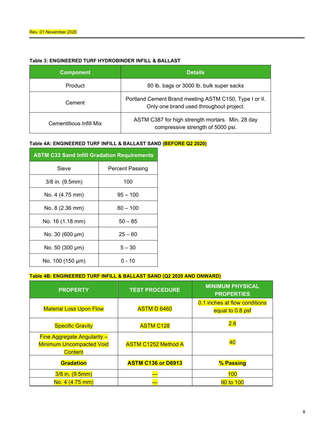# **Table 3: ENGINEERED TURF HYDROBINDER INFILL & BALLAST**

| <b>Component</b>        | <b>Details</b>                                                                                    |  |
|-------------------------|---------------------------------------------------------------------------------------------------|--|
| Product                 | 80 lb. bags or 3000 lb. bulk super sacks                                                          |  |
| Cement                  | Portland Cement Brand meeting ASTM C150, Type I or II.<br>Only one brand used throughout project. |  |
| Cementitious Infill Mix | ASTM C387 for high strength mortars. Min. 28 day<br>compressive strength of 5000 psi.             |  |

#### **Table 4A: ENGINEERED TURF INFILL & BALLAST SAND (BEFORE Q2 2020)**

| <b>ASTM C33 Sand Infill Gradation Requirements</b> |                 |  |  |
|----------------------------------------------------|-----------------|--|--|
| Sieve                                              | Percent Passing |  |  |
| 3/8 in. (9.5mm)                                    | 100             |  |  |
| No. 4 (4.75 mm)                                    | $95 - 100$      |  |  |
| No. 8 (2.36 mm)                                    | $80 - 100$      |  |  |
| No. 16 (1.18 mm)                                   | $50 - 85$       |  |  |
| No. 30 (600 µm)                                    | $25 - 60$       |  |  |
| No. 50 (300 µm)                                    | $5 - 30$        |  |  |
| No. 100 (150 µm)                                   | ი - 10          |  |  |

#### **Table 4B: ENGINEERED TURF INFILL & BALLAST SAND (Q2 2020 AND ONWARD)**

| <b>PROPERTY</b>                                                                         | <b>TEST PROCEDURE</b>      | <b>MINIMUM PHYSICAL</b><br><b>PROPERTIES</b>      |
|-----------------------------------------------------------------------------------------|----------------------------|---------------------------------------------------|
| <b>Material Loss Upon Flow</b>                                                          | <b>ASTM D 6460</b>         | 0.1 inches at flow conditions<br>equal to 0.8 psf |
| <b>Specific Gravity</b>                                                                 | <b>ASTM C128</b>           | 2.6                                               |
| <b>Fine Aggregate Angularity -</b><br><b>Minimum Uncompacted Void</b><br><b>Content</b> | <b>ASTM C1252 Method A</b> | 40                                                |
| <b>Gradation</b>                                                                        | <b>ASTM C136 or D6913</b>  | % Passing                                         |
| 3/8 in. (9.5mm)                                                                         |                            | 100                                               |
| No. 4 (4.75 mm)                                                                         | ---                        | 90 to 100                                         |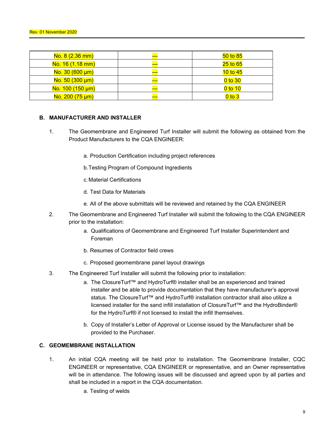| No. 8 (2.36 mm)      | --- | $50$ to $85$ |
|----------------------|-----|--------------|
| No. 16 (1.18 mm)     | --- | $25$ to $65$ |
| $No. 30 (600 \mu m)$ | --- | $10$ to $45$ |
| $No. 50 (300 \mu m)$ |     | $0$ to $30$  |
| No. 100 (150 µm)     | --- | $0$ to 10    |
| No. 200 (75 µm)      | --- | $0$ to $3$   |

#### **B. MANUFACTURER AND INSTALLER**

- 1. The Geomembrane and Engineered Turf Installer will submit the following as obtained from the Product Manufacturers to the CQA ENGINEER:
	- a. Production Certification including project references
	- b. Testing Program of Compound Ingredients
	- c. Material Certifications
	- d. Test Data for Materials
	- e. All of the above submittals will be reviewed and retained by the CQA ENGINEER
- 2. The Geomembrane and Engineered Turf Installer will submit the following to the CQA ENGINEER prior to the installation:
	- a. Qualifications of Geomembrane and Engineered Turf Installer Superintendent and Foreman
	- b. Resumes of Contractor field crews
	- c. Proposed geomembrane panel layout drawings
- 3. The Engineered Turf Installer will submit the following prior to installation:
	- a. The ClosureTurf™ and HydroTurf® installer shall be an experienced and trained installer and be able to provide documentation that they have manufacturer's approval status. The ClosureTurf™ and HydroTurf® installation contractor shall also utilize a licensed installer for the sand infill installation of ClosureTurf™ and the HydroBinder® for the HydroTurf® if not licensed to install the infill themselves.
	- b. Copy of Installer's Letter of Approval or License issued by the Manufacturer shall be provided to the Purchaser.

## **C. GEOMEMBRANE INSTALLATION**

- 1. An initial CQA meeting will be held prior to installation. The Geomembrane Installer, CQC ENGINEER or representative, CQA ENGINEER or representative, and an Owner representative will be in attendance. The following issues will be discussed and agreed upon by all parties and shall be included in a report in the CQA documentation.
	- a. Testing of welds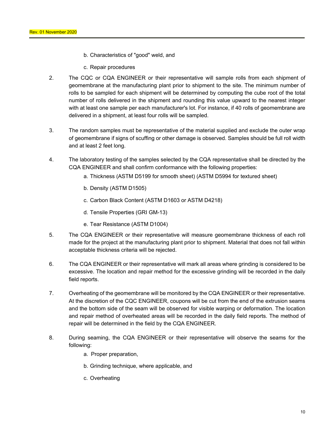- b. Characteristics of "good" weld, and
- c. Repair procedures
- 2. The CQC or CQA ENGINEER or their representative will sample rolls from each shipment of geomembrane at the manufacturing plant prior to shipment to the site. The minimum number of rolls to be sampled for each shipment will be determined by computing the cube root of the total number of rolls delivered in the shipment and rounding this value upward to the nearest integer with at least one sample per each manufacturer's lot. For instance, if 40 rolls of geomembrane are delivered in a shipment, at least four rolls will be sampled.
- 3. The random samples must be representative of the material supplied and exclude the outer wrap of geomembrane if signs of scuffing or other damage is observed. Samples should be full roll width and at least 2 feet long.
- 4. The laboratory testing of the samples selected by the CQA representative shall be directed by the CQA ENGINEER and shall confirm conformance with the following properties:
	- a. Thickness (ASTM D5199 for smooth sheet) (ASTM D5994 for textured sheet)
	- b. Density (ASTM D1505)
	- c. Carbon Black Content (ASTM D1603 or ASTM D4218)
	- d. Tensile Properties (GRI GM-13)
	- e. Tear Resistance (ASTM D1004)
- 5. The CQA ENGINEER or their representative will measure geomembrane thickness of each roll made for the project at the manufacturing plant prior to shipment. Material that does not fall within acceptable thickness criteria will be rejected.
- 6. The CQA ENGINEER or their representative will mark all areas where grinding is considered to be excessive. The location and repair method for the excessive grinding will be recorded in the daily field reports.
- 7. Overheating of the geomembrane will be monitored by the CQA ENGINEER or their representative. At the discretion of the CQC ENGINEER, coupons will be cut from the end of the extrusion seams and the bottom side of the seam will be observed for visible warping or deformation. The location and repair method of overheated areas will be recorded in the daily field reports. The method of repair will be determined in the field by the CQA ENGINEER.
- 8. During seaming, the CQA ENGINEER or their representative will observe the seams for the following:
	- a. Proper preparation,
	- b. Grinding technique, where applicable, and
	- c. Overheating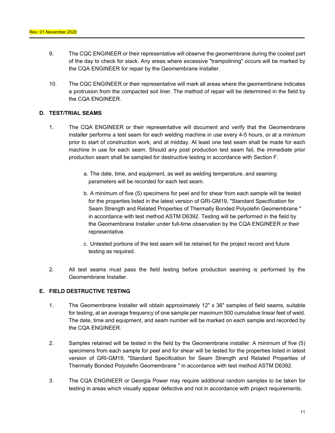- 9. The CQC ENGINEER or their representative will observe the geomembrane during the coolest part of the day to check for slack. Any areas where excessive "trampolining" occurs will be marked by the CQA ENGINEER for repair by the Geomembrane Installer.
- 10. The CQC ENGINEER or their representative will mark all areas where the geomembrane indicates a protrusion from the compacted soil liner. The method of repair will be determined in the field by the CQA ENGINEER.

#### **D. TEST/TRIAL SEAMS**

- 1. The CQA ENGINEER or their representative will document and verify that the Geomembrane installer performs a test seam for each welding machine in use every 4-5 hours, or at a minimum prior to start of construction work, and at midday. At least one test seam shall be made for each machine in use for each seam. Should any post production test seam fail, the immediate prior production seam shall be sampled for destructive testing in accordance with Section F.
	- a. The date, time, and equipment, as well as welding temperature, and seaming parameters will be recorded for each test seam.
	- b. A minimum of five (5) specimens for peel and for shear from each sample will be tested for the properties listed in the latest version of GRI-GM19, "Standard Specification for Seam Strength and Related Properties of Thermally Bonded Polyolefin Geomembrane " in accordance with test method ASTM D6392. Testing will be performed in the field by the Geomembrane Installer under full-time observation by the CQA ENGINEER or their representative.
	- c. Untested portions of the test seam will be retained for the project record and future testing as required.
- 2. All test seams must pass the field testing before production seaming is performed by the Geomembrane Installer.

## **E. FIELD DESTRUCTIVE TESTING**

- 1. The Geomembrane Installer will obtain approximately 12" x 36" samples of field seams, suitable for testing, at an average frequency of one sample per maximum 500 cumulative linear feet of weld. The date, time and equipment, and seam number will be marked on each sample and recorded by the CQA ENGINEER.
- 2. Samples retained will be tested in the field by the Geomembrane installer. A minimum of five (5) specimens from each sample for peel and for shear will be tested for the properties listed in latest version of GRI-GM19, "Standard Specification for Seam Strength and Related Properties of Thermally Bonded Polyolefin Geomembrane " in accordance with test method ASTM D6392.
- 3. The CQA ENGINEER or Georgia Power may require additional random samples to be taken for testing in areas which visually appear defective and not in accordance with project requirements.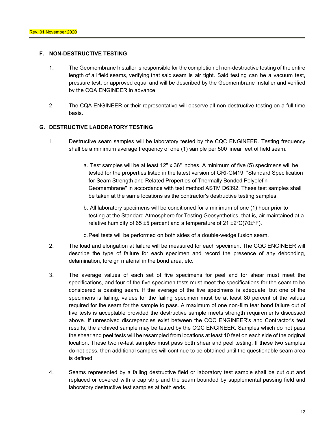#### **F. NON-DESTRUCTIVE TESTING**

- 1. The Geomembrane Installer is responsible for the completion of non-destructive testing of the entire length of all field seams, verifying that said seam is air tight. Said testing can be a vacuum test, pressure test, or approved equal and will be described by the Geomembrane Installer and verified by the CQA ENGINEER in advance.
- 2. The CQA ENGINEER or their representative will observe all non-destructive testing on a full time basis.

#### **G. DESTRUCTIVE LABORATORY TESTING**

- 1. Destructive seam samples will be laboratory tested by the CQC ENGINEER. Testing frequency shall be a minimum average frequency of one (1) sample per 500 linear feet of field seam.
	- a. Test samples will be at least 12" x 36" inches. A minimum of five (5) specimens will be tested for the properties listed in the latest version of GRI-GM19, "Standard Specification for Seam Strength and Related Properties of Thermally Bonded Polyolefin Geomembrane" in accordance with test method ASTM D6392. These test samples shall be taken at the same locations as the contractor's destructive testing samples.
	- b. All laboratory specimens will be conditioned for a minimum of one (1) hour prior to testing at the Standard Atmosphere for Testing Geosynthetics, that is, air maintained at a relative humidity of 65  $\pm$ 5 percent and a temperature of 21  $\pm$ 2°C(70 $\pm$ °F).
	- c. Peel tests will be performed on both sides of a double-wedge fusion seam.
- 2. The load and elongation at failure will be measured for each specimen. The CQC ENGINEER will describe the type of failure for each specimen and record the presence of any debonding, delamination, foreign material in the bond area, etc.
- 3. The average values of each set of five specimens for peel and for shear must meet the specifications, and four of the five specimen tests must meet the specifications for the seam to be considered a passing seam. If the average of the five specimens is adequate, but one of the specimens is failing, values for the failing specimen must be at least 80 percent of the values required for the seam for the sample to pass. A maximum of one non-film tear bond failure out of five tests is acceptable provided the destructive sample meets strength requirements discussed above. If unresolved discrepancies exist between the CQC ENGINEER's and Contractor's test results, the archived sample may be tested by the CQC ENGINEER. Samples which do not pass the shear and peel tests will be resampled from locations at least 10 feet on each side of the original location. These two re-test samples must pass both shear and peel testing. If these two samples do not pass, then additional samples will continue to be obtained until the questionable seam area is defined.
- 4. Seams represented by a failing destructive field or laboratory test sample shall be cut out and replaced or covered with a cap strip and the seam bounded by supplemental passing field and laboratory destructive test samples at both ends.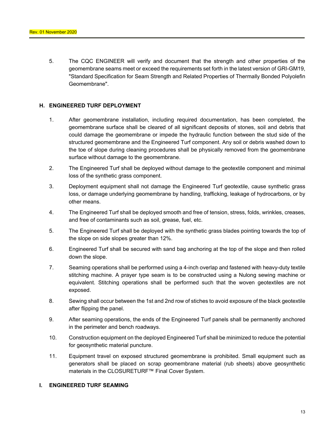5. The CQC ENGINEER will verify and document that the strength and other properties of the geomembrane seams meet or exceed the requirements set forth in the latest version of GRI-GM19, "Standard Specification for Seam Strength and Related Properties of Thermally Bonded Polyolefin Geomembrane".

#### **H. ENGINEERED TURF DEPLOYMENT**

- 1. After geomembrane installation, including required documentation, has been completed, the geomembrane surface shall be cleared of all significant deposits of stones, soil and debris that could damage the geomembrane or impede the hydraulic function between the stud side of the structured geomembrane and the Engineered Turf component. Any soil or debris washed down to the toe of slope during cleaning procedures shall be physically removed from the geomembrane surface without damage to the geomembrane.
- 2. The Engineered Turf shall be deployed without damage to the geotextile component and minimal loss of the synthetic grass component.
- 3. Deployment equipment shall not damage the Engineered Turf geotextile, cause synthetic grass loss, or damage underlying geomembrane by handling, trafficking, leakage of hydrocarbons, or by other means.
- 4. The Engineered Turf shall be deployed smooth and free of tension, stress, folds, wrinkles, creases, and free of contaminants such as soil, grease, fuel, etc.
- 5. The Engineered Turf shall be deployed with the synthetic grass blades pointing towards the top of the slope on side slopes greater than 12%.
- 6. Engineered Turf shall be secured with sand bag anchoring at the top of the slope and then rolled down the slope.
- 7. Seaming operations shall be performed using a 4-inch overlap and fastened with heavy-duty textile stitching machine. A prayer type seam is to be constructed using a Nulong sewing machine or equivalent. Stitching operations shall be performed such that the woven geotextiles are not exposed.
- 8. Sewing shall occur between the 1st and 2nd row of stiches to avoid exposure of the black geotextile after flipping the panel.
- 9. After seaming operations, the ends of the Engineered Turf panels shall be permanently anchored in the perimeter and bench roadways.
- 10. Construction equipment on the deployed Engineered Turf shall be minimized to reduce the potential for geosynthetic material puncture.
- 11. Equipment travel on exposed structured geomembrane is prohibited. Small equipment such as generators shall be placed on scrap geomembrane material (rub sheets) above geosynthetic materials in the CLOSURETURF™ Final Cover System.

## **I. ENGINEERED TURF SEAMING**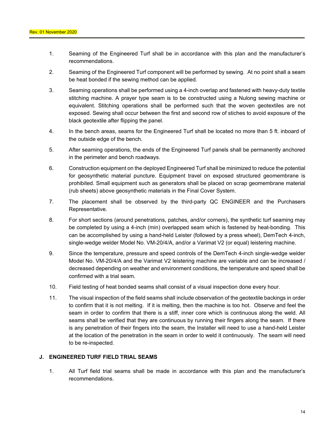- 1. Seaming of the Engineered Turf shall be in accordance with this plan and the manufacturer's recommendations.
- 2. Seaming of the Engineered Turf component will be performed by sewing. At no point shall a seam be heat bonded if the sewing method can be applied.
- 3. Seaming operations shall be performed using a 4-inch overlap and fastened with heavy-duty textile stitching machine. A prayer type seam is to be constructed using a Nulong sewing machine or equivalent. Stitching operations shall be performed such that the woven geotextiles are not exposed. Sewing shall occur between the first and second row of stiches to avoid exposure of the black geotextile after flipping the panel.
- 4. In the bench areas, seams for the Engineered Turf shall be located no more than 5 ft. inboard of the outside edge of the bench.
- 5. After seaming operations, the ends of the Engineered Turf panels shall be permanently anchored in the perimeter and bench roadways.
- 6. Construction equipment on the deployed Engineered Turf shall be minimized to reduce the potential for geosynthetic material puncture. Equipment travel on exposed structured geomembrane is prohibited. Small equipment such as generators shall be placed on scrap geomembrane material (rub sheets) above geosynthetic materials in the Final Cover System.
- 7. The placement shall be observed by the third-party QC ENGINEER and the Purchasers Representative.
- 8. For short sections (around penetrations, patches, and/or corners), the synthetic turf seaming may be completed by using a 4-inch (min) overlapped seam which is fastened by heat-bonding. This can be accomplished by using a hand-held Leister (followed by a press wheel), DemTech 4-inch, single-wedge welder Model No. VM-20/4/A, and/or a Varimat V2 (or equal) leistering machine.
- 9. Since the temperature, pressure and speed controls of the DemTech 4-inch single-wedge welder Model No. VM-20/4/A and the Varimat V2 leistering machine are variable and can be increased / decreased depending on weather and environment conditions, the temperature and speed shall be confirmed with a trial seam.
- 10. Field testing of heat bonded seams shall consist of a visual inspection done every hour.
- 11. The visual inspection of the field seams shall include observation of the geotextile backings in order to confirm that it is not melting. If it is melting, then the machine is too hot. Observe and feel the seam in order to confirm that there is a stiff, inner core which is continuous along the weld. All seams shall be verified that they are continuous by running their fingers along the seam. If there is any penetration of their fingers into the seam, the Installer will need to use a hand-held Leister at the location of the penetration in the seam in order to weld it continuously. The seam will need to be re-inspected.

#### **J. ENGINEERED TURF FIELD TRIAL SEAMS**

1. All Turf field trial seams shall be made in accordance with this plan and the manufacturer's recommendations.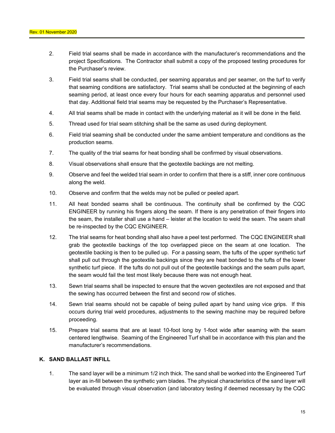- 2. Field trial seams shall be made in accordance with the manufacturer's recommendations and the project Specifications. The Contractor shall submit a copy of the proposed testing procedures for the Purchaser's review.
- 3. Field trial seams shall be conducted, per seaming apparatus and per seamer, on the turf to verify that seaming conditions are satisfactory. Trial seams shall be conducted at the beginning of each seaming period, at least once every four hours for each seaming apparatus and personnel used that day. Additional field trial seams may be requested by the Purchaser's Representative.
- 4. All trial seams shall be made in contact with the underlying material as it will be done in the field.
- 5. Thread used for trial seam stitching shall be the same as used during deployment.
- 6. Field trial seaming shall be conducted under the same ambient temperature and conditions as the production seams.
- 7. The quality of the trial seams for heat bonding shall be confirmed by visual observations.
- 8. Visual observations shall ensure that the geotextile backings are not melting.
- 9. Observe and feel the welded trial seam in order to confirm that there is a stiff, inner core continuous along the weld.
- 10. Observe and confirm that the welds may not be pulled or peeled apart.
- 11. All heat bonded seams shall be continuous. The continuity shall be confirmed by the CQC ENGINEER by running his fingers along the seam. If there is any penetration of their fingers into the seam, the installer shall use a hand – leister at the location to weld the seam. The seam shall be re-inspected by the CQC ENGINEER.
- 12. The trial seams for heat bonding shall also have a peel test performed. The CQC ENGINEER shall grab the geotextile backings of the top overlapped piece on the seam at one location. The geotextile backing is then to be pulled up. For a passing seam, the tufts of the upper synthetic turf shall pull out through the geotextile backings since they are heat bonded to the tufts of the lower synthetic turf piece. If the tufts do not pull out of the geotextile backings and the seam pulls apart, the seam would fail the test most likely because there was not enough heat.
- 13. Sewn trial seams shall be inspected to ensure that the woven geotextiles are not exposed and that the sewing has occurred between the first and second row of stiches.
- 14. Sewn trial seams should not be capable of being pulled apart by hand using vice grips. If this occurs during trial weld procedures, adjustments to the sewing machine may be required before proceeding.
- 15. Prepare trial seams that are at least 10-foot long by 1-foot wide after seaming with the seam centered lengthwise. Seaming of the Engineered Turf shall be in accordance with this plan and the manufacturer's recommendations.

#### **K. SAND BALLAST INFILL**

1. The sand layer will be a minimum 1/2 inch thick. The sand shall be worked into the Engineered Turf layer as in-fill between the synthetic yarn blades. The physical characteristics of the sand layer will be evaluated through visual observation (and laboratory testing if deemed necessary by the CQC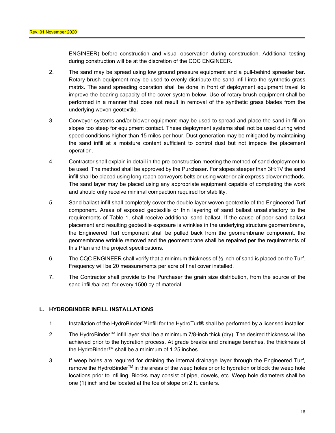ENGINEER) before construction and visual observation during construction. Additional testing during construction will be at the discretion of the CQC ENGINEER.

- 2. The sand may be spread using low ground pressure equipment and a pull-behind spreader bar. Rotary brush equipment may be used to evenly distribute the sand infill into the synthetic grass matrix. The sand spreading operation shall be done in front of deployment equipment travel to improve the bearing capacity of the cover system below. Use of rotary brush equipment shall be performed in a manner that does not result in removal of the synthetic grass blades from the underlying woven geotextile.
- 3. Conveyor systems and/or blower equipment may be used to spread and place the sand in-fill on slopes too steep for equipment contact. These deployment systems shall not be used during wind speed conditions higher than 15 miles per hour. Dust generation may be mitigated by maintaining the sand infill at a moisture content sufficient to control dust but not impede the placement operation.
- 4. Contractor shall explain in detail in the pre-construction meeting the method of sand deployment to be used. The method shall be approved by the Purchaser. For slopes steeper than 3H:1V the sand infill shall be placed using long reach conveyors belts or using water or air express blower methods. The sand layer may be placed using any appropriate equipment capable of completing the work and should only receive minimal compaction required for stability.
- 5. Sand ballast infill shall completely cover the double-layer woven geotextile of the Engineered Turf component. Areas of exposed geotextile or thin layering of sand ballast unsatisfactory to the requirements of Table 1, shall receive additional sand ballast. If the cause of poor sand ballast placement and resulting geotextile exposure is wrinkles in the underlying structure geomembrane, the Engineered Turf component shall be pulled back from the geomembrane component, the geomembrane wrinkle removed and the geomembrane shall be repaired per the requirements of this Plan and the project specifications.
- 6. The CQC ENGINEER shall verify that a minimum thickness of  $\frac{1}{2}$  inch of sand is placed on the Turf. Frequency will be 20 measurements per acre of final cover installed.
- 7. The Contractor shall provide to the Purchaser the grain size distribution, from the source of the sand infill/ballast, for every 1500 cy of material.

## **L. HYDROBINDER INFILL INSTALLATIONS**

- 1. Installation of the HydroBinderTM infill for the HydroTurf® shall be performed by a licensed installer.
- 2. The HydroBinder<sup>TM</sup> infill layer shall be a minimum 7/8-inch thick (dry). The desired thickness will be achieved prior to the hydration process. At grade breaks and drainage benches, the thickness of the HydroBinder<sup>™</sup> shall be a minimum of 1.25 inches.
- 3. If weep holes are required for draining the internal drainage layer through the Engineered Turf, remove the HydroBinder™ in the areas of the weep holes prior to hydration or block the weep hole locations prior to infilling. Blocks may consist of pipe, dowels, etc. Weep hole diameters shall be one (1) inch and be located at the toe of slope on 2 ft. centers.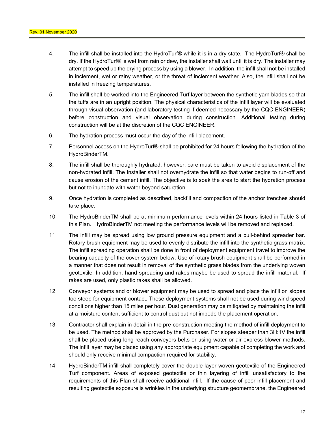- 4. The infill shall be installed into the HydroTurf® while it is in a dry state. The HydroTurf® shall be dry. If the HydroTurf® is wet from rain or dew, the installer shall wait until it is dry. The installer may attempt to speed up the drying process by using a blower. In addition, the infill shall not be installed in inclement, wet or rainy weather, or the threat of inclement weather. Also, the infill shall not be installed in freezing temperatures.
- 5. The infill shall be worked into the Engineered Turf layer between the synthetic yarn blades so that the tuffs are in an upright position. The physical characteristics of the infill layer will be evaluated through visual observation (and laboratory testing if deemed necessary by the CQC ENGINEER) before construction and visual observation during construction. Additional testing during construction will be at the discretion of the CQC ENGINEER.
- 6. The hydration process must occur the day of the infill placement.
- 7. Personnel access on the HydroTurf® shall be prohibited for 24 hours following the hydration of the HydroBinderTM.
- 8. The infill shall be thoroughly hydrated, however, care must be taken to avoid displacement of the non-hydrated infill. The Installer shall not overhydrate the infill so that water begins to run-off and cause erosion of the cement infill. The objective is to soak the area to start the hydration process but not to inundate with water beyond saturation.
- 9. Once hydration is completed as described, backfill and compaction of the anchor trenches should take place.
- 10. The HydroBinderTM shall be at minimum performance levels within 24 hours listed in Table 3 of this Plan. HydroBinderTM not meeting the performance levels will be removed and replaced.
- 11. The infill may be spread using low ground pressure equipment and a pull-behind spreader bar. Rotary brush equipment may be used to evenly distribute the infill into the synthetic grass matrix. The infill spreading operation shall be done in front of deployment equipment travel to improve the bearing capacity of the cover system below. Use of rotary brush equipment shall be performed in a manner that does not result in removal of the synthetic grass blades from the underlying woven geotextile. In addition, hand spreading and rakes maybe be used to spread the infill material. If rakes are used, only plastic rakes shall be allowed.
- 12. Conveyor systems and or blower equipment may be used to spread and place the infill on slopes too steep for equipment contact. These deployment systems shall not be used during wind speed conditions higher than 15 miles per hour. Dust generation may be mitigated by maintaining the infill at a moisture content sufficient to control dust but not impede the placement operation.
- 13. Contractor shall explain in detail in the pre-construction meeting the method of infill deployment to be used. The method shall be approved by the Purchaser. For slopes steeper than 3H:1V the infill shall be placed using long reach conveyors belts or using water or air express blower methods. The infill layer may be placed using any appropriate equipment capable of completing the work and should only receive minimal compaction required for stability.
- 14. HydroBinderTM infill shall completely cover the double-layer woven geotextile of the Engineered Turf component. Areas of exposed geotextile or thin layering of infill unsatisfactory to the requirements of this Plan shall receive additional infill. If the cause of poor infill placement and resulting geotextile exposure is wrinkles in the underlying structure geomembrane, the Engineered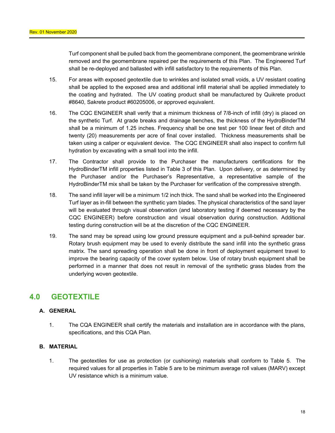Turf component shall be pulled back from the geomembrane component, the geomembrane wrinkle removed and the geomembrane repaired per the requirements of this Plan. The Engineered Turf shall be re-deployed and ballasted with infill satisfactory to the requirements of this Plan.

- 15. For areas with exposed geotextile due to wrinkles and isolated small voids, a UV resistant coating shall be applied to the exposed area and additional infill material shall be applied immediately to the coating and hydrated. The UV coating product shall be manufactured by Quikrete product #8640, Sakrete product #60205006, or approved equivalent.
- 16. The CQC ENGINEER shall verify that a minimum thickness of 7/8-inch of infill (dry) is placed on the synthetic Turf. At grade breaks and drainage benches, the thickness of the HydroBinderTM shall be a minimum of 1.25 inches. Frequency shall be one test per 100 linear feet of ditch and twenty (20) measurements per acre of final cover installed. Thickness measurements shall be taken using a caliper or equivalent device. The CQC ENGINEER shall also inspect to confirm full hydration by excavating with a small tool into the infill.
- 17. The Contractor shall provide to the Purchaser the manufacturers certifications for the HydroBinderTM infill properties listed in Table 3 of this Plan. Upon delivery, or as determined by the Purchaser and/or the Purchaser's Representative, a representative sample of the HydroBinderTM mix shall be taken by the Purchaser for verification of the compressive strength.
- 18. The sand infill layer will be a minimum 1/2 inch thick. The sand shall be worked into the Engineered Turf layer as in-fill between the synthetic yarn blades. The physical characteristics of the sand layer will be evaluated through visual observation (and laboratory testing if deemed necessary by the CQC ENGINEER) before construction and visual observation during construction. Additional testing during construction will be at the discretion of the CQC ENGINEER.
- 19. The sand may be spread using low ground pressure equipment and a pull-behind spreader bar. Rotary brush equipment may be used to evenly distribute the sand infill into the synthetic grass matrix. The sand spreading operation shall be done in front of deployment equipment travel to improve the bearing capacity of the cover system below. Use of rotary brush equipment shall be performed in a manner that does not result in removal of the synthetic grass blades from the underlying woven geotextile.

# **4.0 GEOTEXTILE**

## **A. GENERAL**

1. The CQA ENGINEER shall certify the materials and installation are in accordance with the plans, specifications, and this CQA Plan.

## **B. MATERIAL**

1. The geotextiles for use as protection (or cushioning) materials shall conform to Table 5. The required values for all properties in Table 5 are to be minimum average roll values (MARV) except UV resistance which is a minimum value.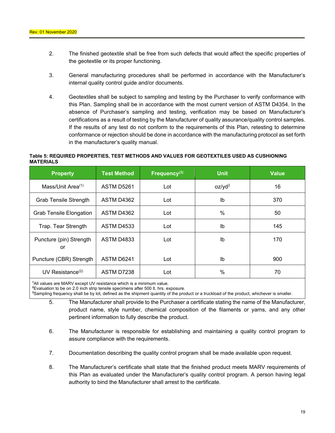- 2. The finished geotextile shall be free from such defects that would affect the specific properties of the geotextile or its proper functioning.
- 3. General manufacturing procedures shall be performed in accordance with the Manufacturer's internal quality control guide and/or documents.
- 4. Geotextiles shall be subject to sampling and testing by the Purchaser to verify conformance with this Plan. Sampling shall be in accordance with the most current version of ASTM D4354. In the absence of Purchaser's sampling and testing, verification may be based on Manufacturer's certifications as a result of testing by the Manufacturer of quality assurance/quality control samples. If the results of any test do not conform to the requirements of this Plan, retesting to determine conformance or rejection should be done in accordance with the manufacturing protocol as set forth in the manufacturer's quality manual.

#### **Table 5: REQUIRED PROPERTIES, TEST METHODS AND VALUES FOR GEOTEXTILES USED AS CUSHIONING MATERIALS**

| <b>Property</b>                | <b>Test Method</b> | Frequency $(3)$ | <b>Unit</b>        | <b>Value</b> |
|--------------------------------|--------------------|-----------------|--------------------|--------------|
| Mass/Unit Area $(1)$           | ASTM D5261         | Lot             | oz/yd <sup>2</sup> | 16           |
| <b>Grab Tensile Strength</b>   | ASTM D4362         | Lot             | Ib                 | 370          |
| <b>Grab Tensile Elongation</b> | ASTM D4362         | Lot             | $\%$               | 50           |
| Trap. Tear Strength            | <b>ASTM D4533</b>  | Lot             | Ib                 | 145          |
| Puncture (pin) Strength<br>or  | <b>ASTM D4833</b>  | Lot             | lb                 | 170          |
| Puncture (CBR) Strength        | ASTM D6241         | Lot             | Ib                 | 900          |
| UV Resistance $(2)$            | ASTM D7238         | Lot             | $\%$               | 70           |

**1** All values are MARV except UV resistance which is a minimum value.

**2** Evaluation to be on 2.0 inch strip tensile specimens after 500 lt. hrs. exposure.

**3** Sampling frequency shall be by lot, defined as the shipment quantity of the product or a truckload of the product, whichever is smaller.

- 5. The Manufacturer shall provide to the Purchaser a certificate stating the name of the Manufacturer, product name, style number, chemical composition of the filaments or yarns, and any other pertinent information to fully describe the product.
- 6. The Manufacturer is responsible for establishing and maintaining a quality control program to assure compliance with the requirements.
- 7. Documentation describing the quality control program shall be made available upon request.
- 8. The Manufacturer's certificate shall state that the finished product meets MARV requirements of this Plan as evaluated under the Manufacturer's quality control program. A person having legal authority to bind the Manufacturer shall arrest to the certificate.